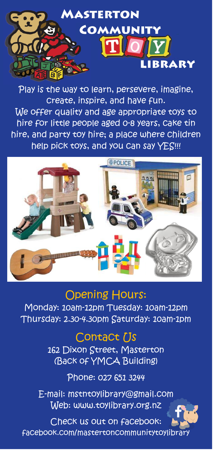

Play is the way to learn, persevere, imagine, create, inspire, and have fun. We offer quality and age appropriate toys to hire for little people aged 0-8 years, cake tin hire, and party toy hire; a place where children help pick toys, and you can say YES!!!



## Opening Hours:

Monday: 10am-12pm Tuesday: 10am-12pm Thursday: 2.30-4.30pm Saturday: 10am-1pm

## Contact [Js

162 Dixon Street, Masterton (Back of YMCA Building)

Phone: 027 651 3244

E-mail: mstntoylibrary@gmail.com Web: www.toylibrary.org.nz

Check us out on facebook: facebook.com/mastertoncommunitytoylibrary